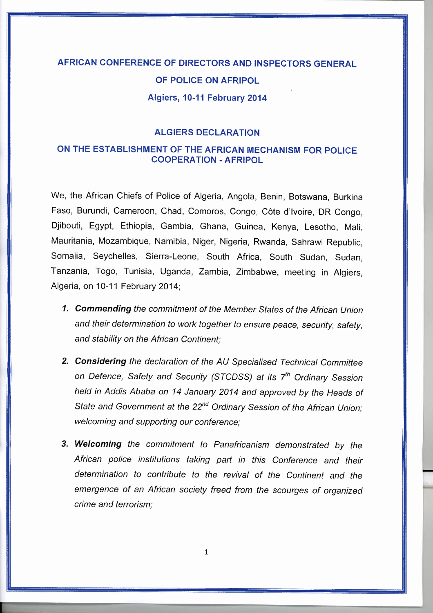## AFRICAN CONFERENCE OF DIRECTORS AND INSPECTORS GENERAL OF POLICE ON AFRIPOL Algiers, 10-11 February 2014

## ALGIERS DECLARATION

## ON THE ESTABLISHMENT OF THE AFRICAN MECHANISM FOR POLICE COOPERATION - AFRIPOL

We, the African Chiefs of Police of Algeria, Angola, Benin, Botswana, Burkina Faso, Burundi, Cameroon, Chad, Comoros, Congo, Cote d'ivoire, DR Congo, Djibouti, Egypt, Ethiopia, Gambia, Ghana, Guinea, Kenya, Lesotho, Mali, Mauritania, Mozambique, Namibia, Niger, Nigeria, Rwanda, Sahrawi Republic, Somalia, Seychelles, Sierra-Leone, South Africa, South Sudan, Sudan, Tanzania, Togo, Tunisia, Uganda, Zambia, Zimbabwe, meeting in Algiers, Algeria, on 10-11 February 2014;

- *1. Commending the commitment of the Member States of the African Union and their determination to work together to ensure peace, security, safety, and stability on the African Continent;*
- *2. Considering the declaration of the AU Specialised Technical Committee on Defence, Safety and Security (STCDSS) at its ih Ordinary Session held in Addis Ababa on* 14 *January 2014 and approved by the Heads of State and Government at the 22<sup>nd</sup> Ordinary Session of the African Union; welcoming and supporting our conference;*
- *3. We/coming the commitment to Panafricanism demonstrated by the African police institutions taking part in this Conference and their determination to contribute to the revival of the Continent and the emergence of an African society freed from the scourges of organized crime and terrorism;*

-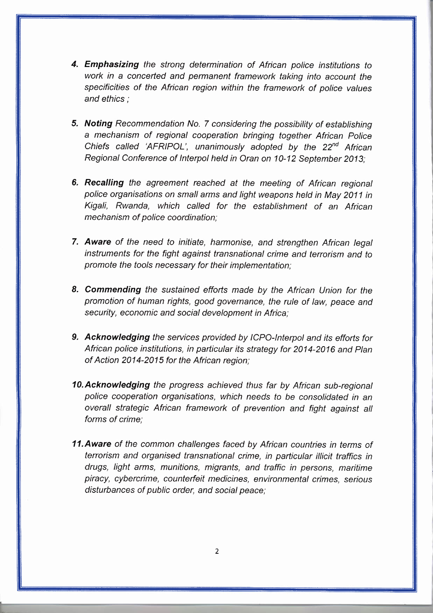- *4. Emphasizing the strong determination of African police institutions to work in* a *concerted and permanent framework taking into account the specificities of the African region within the framework of police values and ethics;*
- *5. Noting Recommendation No.* 7 *considering the possibility of establishing* a *mechanism of regional cooperation bringing together African Police Chiefs* called 'AFRIPOL', unanimously adopted by the 22<sup>nd</sup> African *Regional Conference* of *Interpol held in Oran on 10-12 September 2013;*
- *6. Recalling the agreement reached at the meeting* of *African regional police organisations on small arms and light weapons held in May 2011 in Kigali, Rwanda, which called for the establishment* of *an African mechanism* of *police coordination;*
- *7. Aware* of *the need to initiate, harmonise, and strengthen African legal instruments for the fight against transnational crime and terrorism and to promote the tools necessary for their implementation;*
- *8. Commending the sustained efforts made by the African Union for the promotion* of *human rights, good governance, the rule* of *law, peace and security, economic and social development in Africa;*
- *9. Acknowledging the services provided by ICPO-Interpol and its efforts for African police institutions, in particular its strategy for 2014-2016 and Plan* of *Action 2014-2015 for the African region;*
- *10.Acknowledging the progress achieved thus far by African sub-regional police cooperation organisations, which needs to be consolidated in an overall strategic African framework* of *prevention and fight against all forms* of *crime;*
- *11.Aware of the common challenges faced by African countries in terms* of *terrorism and organised transnational crime, in particular illicit traffics in drugs, light arms, munitions, migrants, and traffic in persons, maritime piracy, cybercrime, counterfeit medicines, environmental crimes, serious disturbances* of *public order, and social peace;*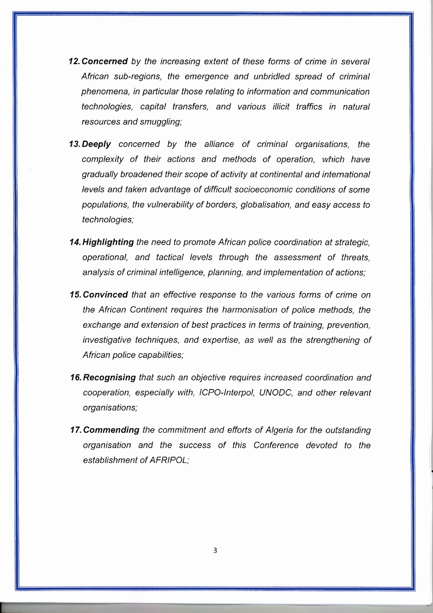- *12. Concerned by the increasing extent* of *these forms* of *crime in several African sub-regions, the emergence and unbridled spread* of *criminal phenomena, in particular those relating to information and communication technologies, capital transfers, and various illicit traffics in natural resources and smuggling;*
- *13. Deeply concerned by the alliance* of *criminal organisations, the complexity* of *their actions and methods* of *operation, which have gradually broadened their scope* of *activity at continental and international levels and taken advantage* of *difficult socioeconomic conditions* of *some populations, the vulnerability* of *borders, globalisation, and easy access to technologies;*
- *14. Highlighting the need to promote African police coordination at strategic, operational, and tactical levels through the assessment* of *threats, analysis* of *criminal intelligence, planning, and implementation* of *actions;*
- *15. Convinced that an effective response to the various forms* of *crime on the African Continent requires the harmonisation* of *police methods, the exchange and extension* of *best practices in terms* of *training, prevention, investigative techniques, and expertise,* as *well* as *the strengthening* of *African police capabilities;*
- *16. Recognising that such an objective requires increased coordination and cooperation, especially with, ICPO-Interpol, UNODC, and other relevant organisations;*
- *17. Commending the commitment and efforts* of *Algeria for the outstanding organisation and the success* of *this Conference devoted to the establishment* of *AFRIPOL;*